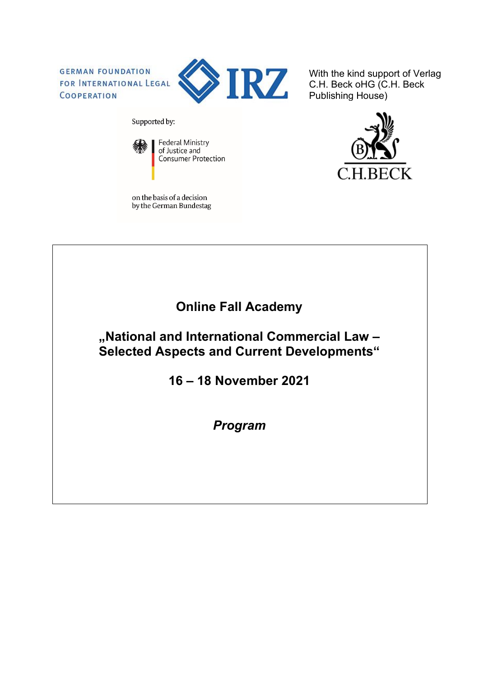**GERMAN FOUNDATION** FOR INTERNATIONAL LEGAL COOPERATION



With the kind support of Verlag C.H. Beck oHG (C.H. Beck Publishing House)

Supported by:



**Federal Ministry** of Justice and Consumer Protection

on the basis of a decision by the German Bundestag



**Online Fall Academy**

**"National and International Commercial Law – Selected Aspects and Current Developments"**

**16 – 18 November 2021**

*Program*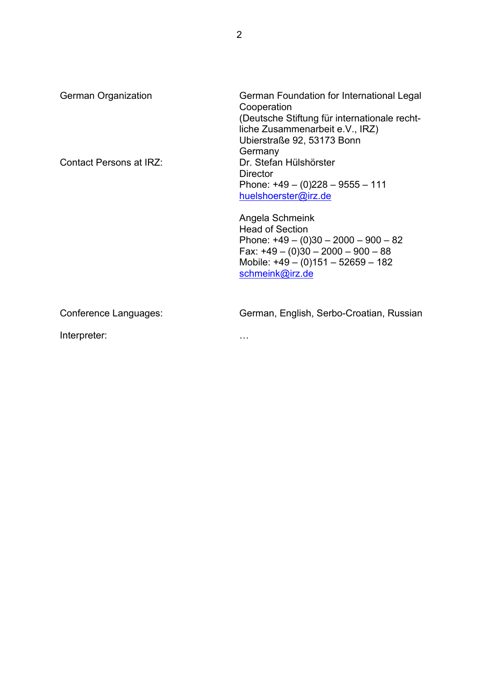| <b>German Organization</b> | German Foundation for International Legal<br>Cooperation<br>(Deutsche Stiftung für internationale recht-<br>liche Zusammenarbeit e.V., IRZ)<br>Ubierstraße 92, 53173 Bonn<br>Germany   |
|----------------------------|----------------------------------------------------------------------------------------------------------------------------------------------------------------------------------------|
| Contact Persons at IRZ:    | Dr. Stefan Hülshörster<br>Director<br>Phone: $+49 - (0)228 - 9555 - 111$<br>huelshoerster@irz.de                                                                                       |
|                            | Angela Schmeink<br><b>Head of Section</b><br>Phone: $+49 - (0)30 - 2000 - 900 - 82$<br>Fax: $+49 - (0)30 - 2000 - 900 - 88$<br>Mobile: $+49 - (0)151 - 52659 - 182$<br>schmeink@irz.de |
| Conference Languages:      | German, English, Serbo-Croatian, Russian                                                                                                                                               |
| Interpreter:               | .                                                                                                                                                                                      |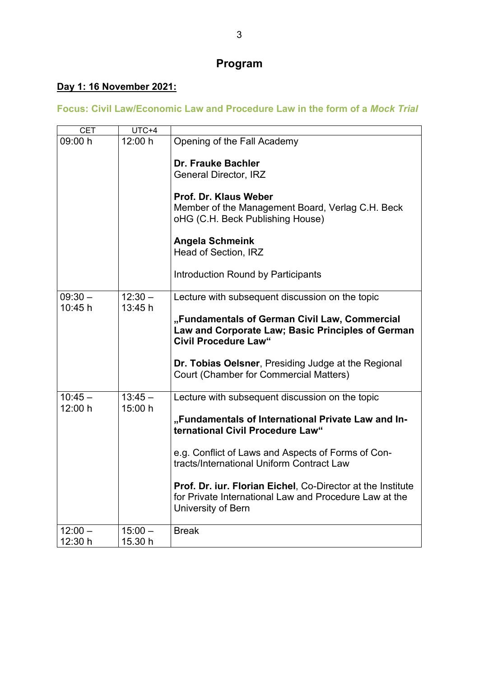# **Program**

## **Day 1: 16 November 2021:**

### **Focus: Civil Law/Economic Law and Procedure Law in the form of a** *Mock Trial*

| <b>CET</b> | $UTC+4$   |                                                                                                                                                                                                                                                                                                                                          |
|------------|-----------|------------------------------------------------------------------------------------------------------------------------------------------------------------------------------------------------------------------------------------------------------------------------------------------------------------------------------------------|
| 09:00 h    | 12:00 h   | Opening of the Fall Academy                                                                                                                                                                                                                                                                                                              |
|            |           | <b>Dr. Frauke Bachler</b><br><b>General Director, IRZ</b><br>Prof. Dr. Klaus Weber<br>Member of the Management Board, Verlag C.H. Beck<br>oHG (C.H. Beck Publishing House)<br><b>Angela Schmeink</b><br>Head of Section, IRZ<br>Introduction Round by Participants                                                                       |
| $09:30 -$  | $12:30 -$ | Lecture with subsequent discussion on the topic                                                                                                                                                                                                                                                                                          |
| 10:45 h    | 13:45 h   | "Fundamentals of German Civil Law, Commercial<br>Law and Corporate Law; Basic Principles of German<br><b>Civil Procedure Law"</b><br>Dr. Tobias Oelsner, Presiding Judge at the Regional<br>Court (Chamber for Commercial Matters)                                                                                                       |
| $10:45 -$  | $13:45 -$ | Lecture with subsequent discussion on the topic                                                                                                                                                                                                                                                                                          |
| 12:00 h    | 15:00 h   | "Fundamentals of International Private Law and In-<br>ternational Civil Procedure Law"<br>e.g. Conflict of Laws and Aspects of Forms of Con-<br>tracts/International Uniform Contract Law<br>Prof. Dr. iur. Florian Eichel, Co-Director at the Institute<br>for Private International Law and Procedure Law at the<br>University of Bern |
| $12:00 -$  | $15:00 -$ | <b>Break</b>                                                                                                                                                                                                                                                                                                                             |
| 12:30 h    | 15.30 h   |                                                                                                                                                                                                                                                                                                                                          |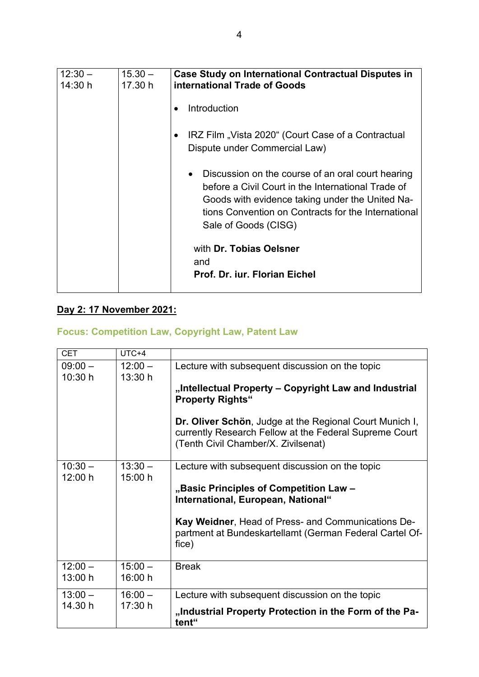| $12:30 -$<br>14:30 h | $15.30 -$<br>17.30 h | Case Study on International Contractual Disputes in<br>international Trade of Goods                                                                                                                                                                    |  |
|----------------------|----------------------|--------------------------------------------------------------------------------------------------------------------------------------------------------------------------------------------------------------------------------------------------------|--|
|                      |                      | Introduction                                                                                                                                                                                                                                           |  |
|                      |                      | IRZ Film "Vista 2020" (Court Case of a Contractual<br>Dispute under Commercial Law)                                                                                                                                                                    |  |
|                      |                      | Discussion on the course of an oral court hearing<br>$\bullet$<br>before a Civil Court in the International Trade of<br>Goods with evidence taking under the United Na-<br>tions Convention on Contracts for the International<br>Sale of Goods (CISG) |  |
|                      |                      | with Dr. Tobias Oelsner<br>and                                                                                                                                                                                                                         |  |
|                      |                      | Prof. Dr. iur. Florian Eichel                                                                                                                                                                                                                          |  |

## **Day 2: 17 November 2021:**

## **Focus: Competition Law, Copyright Law, Patent Law**

| <b>CET</b> | UTC+4     |                                                                                                                                                          |
|------------|-----------|----------------------------------------------------------------------------------------------------------------------------------------------------------|
| $09:00 -$  | $12:00 -$ | Lecture with subsequent discussion on the topic                                                                                                          |
| 10:30 h    | 13:30 h   |                                                                                                                                                          |
|            |           | "Intellectual Property – Copyright Law and Industrial<br><b>Property Rights"</b>                                                                         |
|            |           | Dr. Oliver Schön, Judge at the Regional Court Munich I,<br>currently Research Fellow at the Federal Supreme Court<br>(Tenth Civil Chamber/X. Zivilsenat) |
| $10:30 -$  | $13:30 -$ | Lecture with subsequent discussion on the topic                                                                                                          |
| 12:00 h    | 15:00 h   |                                                                                                                                                          |
|            |           | "Basic Principles of Competition Law -<br>International, European, National"                                                                             |
|            |           | Kay Weidner, Head of Press- and Communications De-<br>partment at Bundeskartellamt (German Federal Cartel Of-<br>fice)                                   |
| $12:00 -$  | $15:00 -$ | <b>Break</b>                                                                                                                                             |
| 13:00 h    | 16:00 h   |                                                                                                                                                          |
| $13:00 -$  | $16:00 -$ | Lecture with subsequent discussion on the topic                                                                                                          |
| 14.30 h    | 17:30 h   | "Industrial Property Protection in the Form of the Pa-<br>tent"                                                                                          |